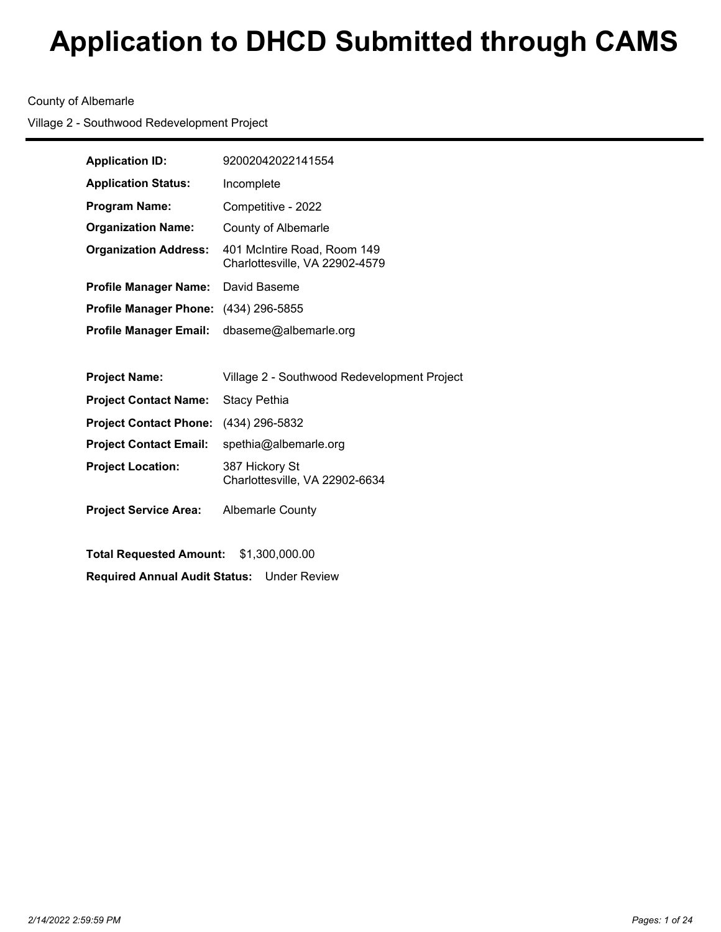## County of Albemarle

Village 2 - Southwood Redevelopment Project

| <b>Application ID:</b>        | 92002042022141554                                             |  |  |
|-------------------------------|---------------------------------------------------------------|--|--|
| <b>Application Status:</b>    | Incomplete                                                    |  |  |
| <b>Program Name:</b>          | Competitive - 2022                                            |  |  |
| <b>Organization Name:</b>     | County of Albemarle                                           |  |  |
| <b>Organization Address:</b>  | 401 McIntire Road, Room 149<br>Charlottesville, VA 22902-4579 |  |  |
| <b>Profile Manager Name:</b>  | David Baseme                                                  |  |  |
| <b>Profile Manager Phone:</b> | (434) 296-5855                                                |  |  |
| <b>Profile Manager Email:</b> | dbaseme@albemarle.org                                         |  |  |
|                               |                                                               |  |  |
|                               |                                                               |  |  |
| <b>Project Name:</b>          | Village 2 - Southwood Redevelopment Project                   |  |  |
| <b>Project Contact Name:</b>  | <b>Stacy Pethia</b>                                           |  |  |
| <b>Project Contact Phone:</b> | (434) 296-5832                                                |  |  |
| <b>Project Contact Email:</b> | spethia@albemarle.org                                         |  |  |
| <b>Project Location:</b>      | 387 Hickory St<br>Charlottesville, VA 22902-6634              |  |  |
| <b>Project Service Area:</b>  | <b>Albemarle County</b>                                       |  |  |

**Total Requested Amount:** \$1,300,000.00 **Required Annual Audit Status:** Under Review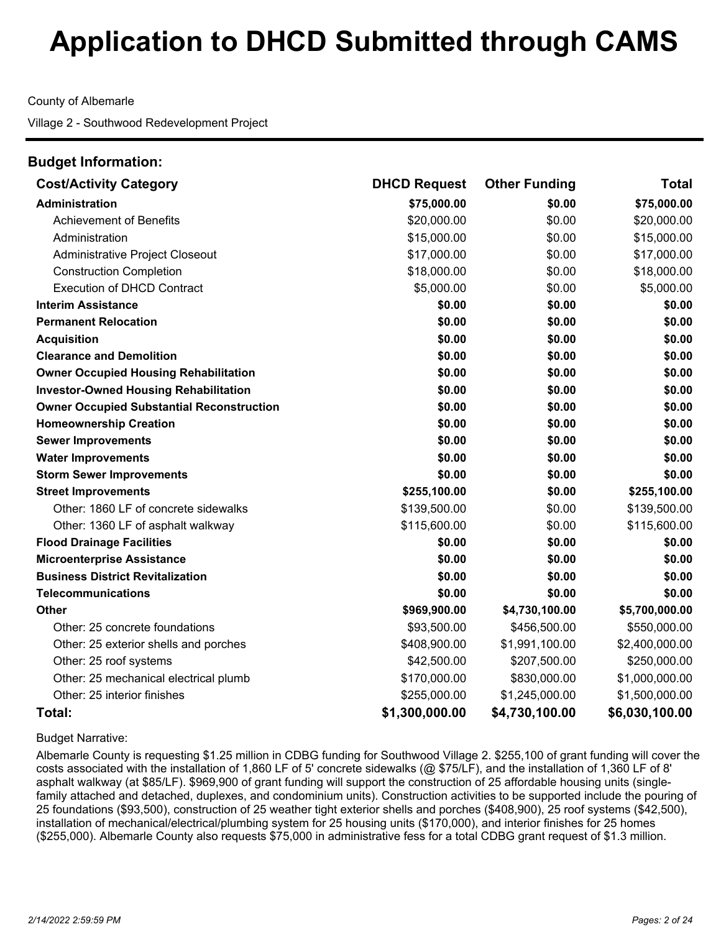County of Albemarle

Village 2 - Southwood Redevelopment Project

| <b>Budget Information:</b>                       |                     |                      |                |
|--------------------------------------------------|---------------------|----------------------|----------------|
| <b>Cost/Activity Category</b>                    | <b>DHCD Request</b> | <b>Other Funding</b> | <b>Total</b>   |
| <b>Administration</b>                            | \$75,000.00         | \$0.00               | \$75,000.00    |
| <b>Achievement of Benefits</b>                   | \$20,000.00         | \$0.00               | \$20,000.00    |
| Administration                                   | \$15,000.00         | \$0.00               | \$15,000.00    |
| Administrative Project Closeout                  | \$17,000.00         | \$0.00               | \$17,000.00    |
| <b>Construction Completion</b>                   | \$18,000.00         | \$0.00               | \$18,000.00    |
| <b>Execution of DHCD Contract</b>                | \$5,000.00          | \$0.00               | \$5,000.00     |
| <b>Interim Assistance</b>                        | \$0.00              | \$0.00               | \$0.00         |
| <b>Permanent Relocation</b>                      | \$0.00              | \$0.00               | \$0.00         |
| <b>Acquisition</b>                               | \$0.00              | \$0.00               | \$0.00         |
| <b>Clearance and Demolition</b>                  | \$0.00              | \$0.00               | \$0.00         |
| <b>Owner Occupied Housing Rehabilitation</b>     | \$0.00              | \$0.00               | \$0.00         |
| <b>Investor-Owned Housing Rehabilitation</b>     | \$0.00              | \$0.00               | \$0.00         |
| <b>Owner Occupied Substantial Reconstruction</b> | \$0.00              | \$0.00               | \$0.00         |
| <b>Homeownership Creation</b>                    | \$0.00              | \$0.00               | \$0.00         |
| <b>Sewer Improvements</b>                        | \$0.00              | \$0.00               | \$0.00         |
| <b>Water Improvements</b>                        | \$0.00              | \$0.00               | \$0.00         |
| <b>Storm Sewer Improvements</b>                  | \$0.00              | \$0.00               | \$0.00         |
| <b>Street Improvements</b>                       | \$255,100.00        | \$0.00               | \$255,100.00   |
| Other: 1860 LF of concrete sidewalks             | \$139,500.00        | \$0.00               | \$139,500.00   |
| Other: 1360 LF of asphalt walkway                | \$115,600.00        | \$0.00               | \$115,600.00   |
| <b>Flood Drainage Facilities</b>                 | \$0.00              | \$0.00               | \$0.00         |
| <b>Microenterprise Assistance</b>                | \$0.00              | \$0.00               | \$0.00         |
| <b>Business District Revitalization</b>          | \$0.00              | \$0.00               | \$0.00         |
| <b>Telecommunications</b>                        | \$0.00              | \$0.00               | \$0.00         |
| <b>Other</b>                                     | \$969,900.00        | \$4,730,100.00       | \$5,700,000.00 |
| Other: 25 concrete foundations                   | \$93,500.00         | \$456,500.00         | \$550,000.00   |
| Other: 25 exterior shells and porches            | \$408,900.00        | \$1,991,100.00       | \$2,400,000.00 |
| Other: 25 roof systems                           | \$42,500.00         | \$207,500.00         | \$250,000.00   |
| Other: 25 mechanical electrical plumb            | \$170,000.00        | \$830,000.00         | \$1,000,000.00 |
| Other: 25 interior finishes                      | \$255,000.00        | \$1,245,000.00       | \$1,500,000.00 |
| Total:                                           | \$1,300,000.00      | \$4,730,100.00       | \$6,030,100.00 |

Budget Narrative:

Albemarle County is requesting \$1.25 million in CDBG funding for Southwood Village 2. \$255,100 of grant funding will cover the costs associated with the installation of 1,860 LF of 5' concrete sidewalks (@ \$75/LF), and the installation of 1,360 LF of 8' asphalt walkway (at \$85/LF). \$969,900 of grant funding will support the construction of 25 affordable housing units (singlefamily attached and detached, duplexes, and condominium units). Construction activities to be supported include the pouring of 25 foundations (\$93,500), construction of 25 weather tight exterior shells and porches (\$408,900), 25 roof systems (\$42,500), installation of mechanical/electrical/plumbing system for 25 housing units (\$170,000), and interior finishes for 25 homes (\$255,000). Albemarle County also requests \$75,000 in administrative fess for a total CDBG grant request of \$1.3 million.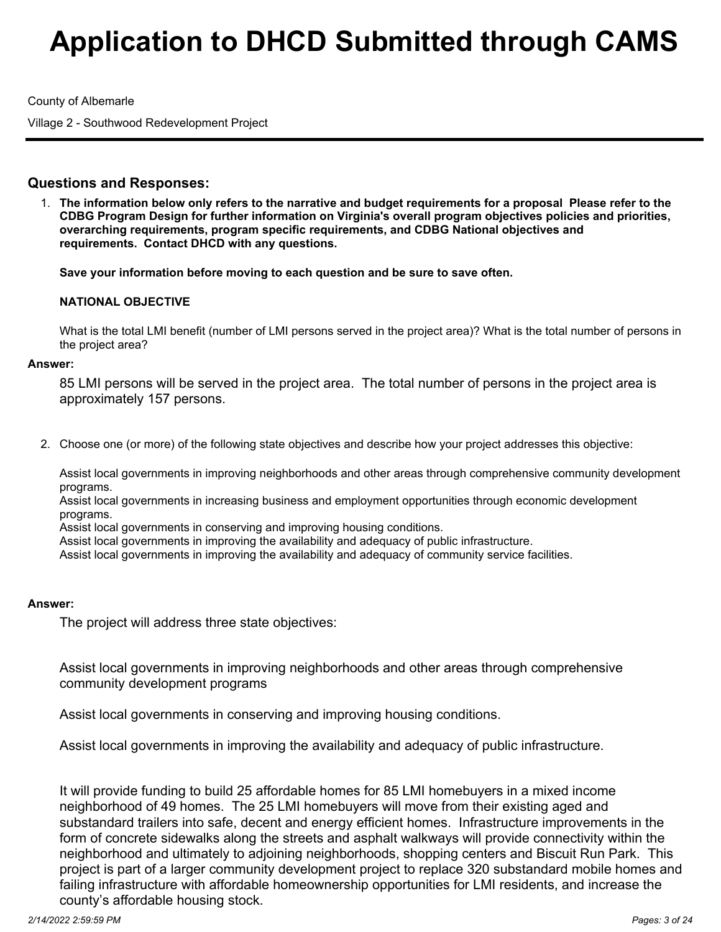County of Albemarle

Village 2 - Southwood Redevelopment Project

# **Questions and Responses:**

**The information below only refers to the narrative and budget requirements for a proposal Please refer to the** 1. **CDBG Program Design for further information on Virginia's overall program objectives policies and priorities, overarching requirements, program specific requirements, and CDBG National objectives and requirements. Contact DHCD with any questions.** 

**Save your information before moving to each question and be sure to save often.**

## **NATIONAL OBJECTIVE**

What is the total LMI benefit (number of LMI persons served in the project area)? What is the total number of persons in the project area?

#### **Answer:**

85 LMI persons will be served in the project area. The total number of persons in the project area is approximately 157 persons.

Choose one (or more) of the following state objectives and describe how your project addresses this objective: 2.

Assist local governments in improving neighborhoods and other areas through comprehensive community development programs.

Assist local governments in increasing business and employment opportunities through economic development programs.

Assist local governments in conserving and improving housing conditions.

Assist local governments in improving the availability and adequacy of public infrastructure.

Assist local governments in improving the availability and adequacy of community service facilities.

#### **Answer:**

The project will address three state objectives:

Assist local governments in improving neighborhoods and other areas through comprehensive community development programs

Assist local governments in conserving and improving housing conditions.

Assist local governments in improving the availability and adequacy of public infrastructure.

It will provide funding to build 25 affordable homes for 85 LMI homebuyers in a mixed income neighborhood of 49 homes. The 25 LMI homebuyers will move from their existing aged and substandard trailers into safe, decent and energy efficient homes. Infrastructure improvements in the form of concrete sidewalks along the streets and asphalt walkways will provide connectivity within the neighborhood and ultimately to adjoining neighborhoods, shopping centers and Biscuit Run Park. This project is part of a larger community development project to replace 320 substandard mobile homes and failing infrastructure with affordable homeownership opportunities for LMI residents, and increase the county's affordable housing stock.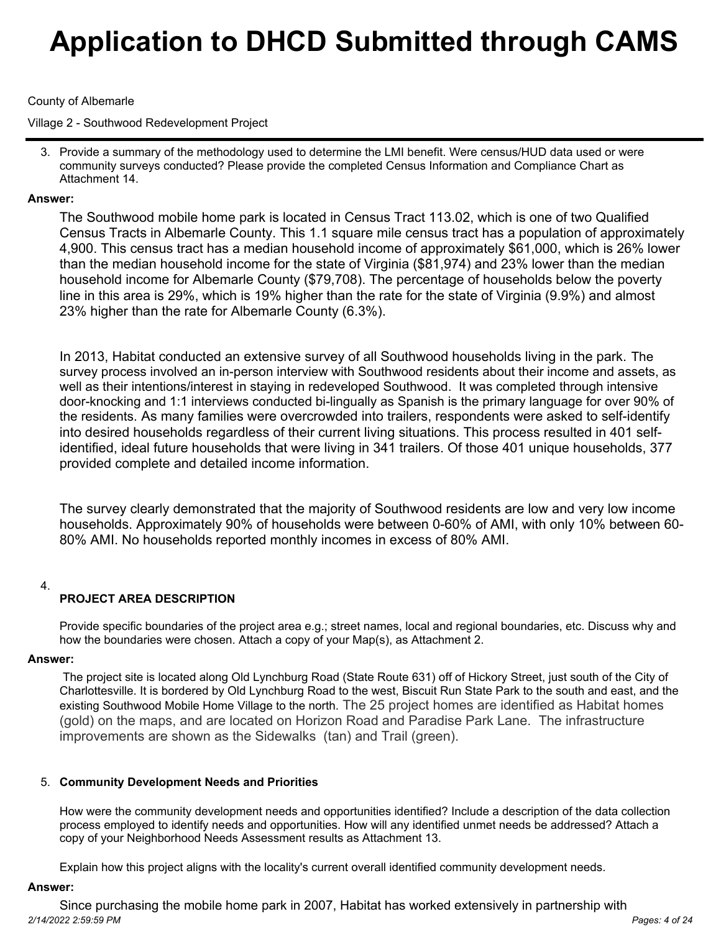## County of Albemarle

Village 2 - Southwood Redevelopment Project

3. Provide a summary of the methodology used to determine the LMI benefit. Were census/HUD data used or were community surveys conducted? Please provide the completed Census Information and Compliance Chart as Attachment 14.

## **Answer:**

The Southwood mobile home park is located in Census Tract 113.02, which is one of two Qualified Census Tracts in Albemarle County. This 1.1 square mile census tract has a population of approximately 4,900. This census tract has a median household income of approximately \$61,000, which is 26% lower than the median household income for the state of Virginia (\$81,974) and 23% lower than the median household income for Albemarle County (\$79,708). The percentage of households below the poverty line in this area is 29%, which is 19% higher than the rate for the state of Virginia (9.9%) and almost 23% higher than the rate for Albemarle County (6.3%).

In 2013, Habitat conducted an extensive survey of all Southwood households living in the park. The survey process involved an in-person interview with Southwood residents about their income and assets, as well as their intentions/interest in staying in redeveloped Southwood. It was completed through intensive door-knocking and 1:1 interviews conducted bi-lingually as Spanish is the primary language for over 90% of the residents. As many families were overcrowded into trailers, respondents were asked to self-identify into desired households regardless of their current living situations. This process resulted in 401 selfidentified, ideal future households that were living in 341 trailers. Of those 401 unique households, 377 provided complete and detailed income information.

The survey clearly demonstrated that the majority of Southwood residents are low and very low income households. Approximately 90% of households were between 0-60% of AMI, with only 10% between 60- 80% AMI. No households reported monthly incomes in excess of 80% AMI.

## 4.

# **PROJECT AREA DESCRIPTION**

Provide specific boundaries of the project area e.g.; street names, local and regional boundaries, etc. Discuss why and how the boundaries were chosen. Attach a copy of your Map(s), as Attachment 2.

## **Answer:**

 The project site is located along Old Lynchburg Road (State Route 631) off of Hickory Street, just south of the City of Charlottesville. It is bordered by Old Lynchburg Road to the west, Biscuit Run State Park to the south and east, and the existing Southwood Mobile Home Village to the north. The 25 project homes are identified as Habitat homes (gold) on the maps, and are located on Horizon Road and Paradise Park Lane. The infrastructure improvements are shown as the Sidewalks (tan) and Trail (green).

## **Community Development Needs and Priorities** 5.

How were the community development needs and opportunities identified? Include a description of the data collection process employed to identify needs and opportunities. How will any identified unmet needs be addressed? Attach a copy of your Neighborhood Needs Assessment results as Attachment 13.

Explain how this project aligns with the locality's current overall identified community development needs.

#### **Answer:**

Since purchasing the mobile home park in 2007, Habitat has worked extensively in partnership with *2/14/2022 2:59:59 PM Pages: 4 of 24*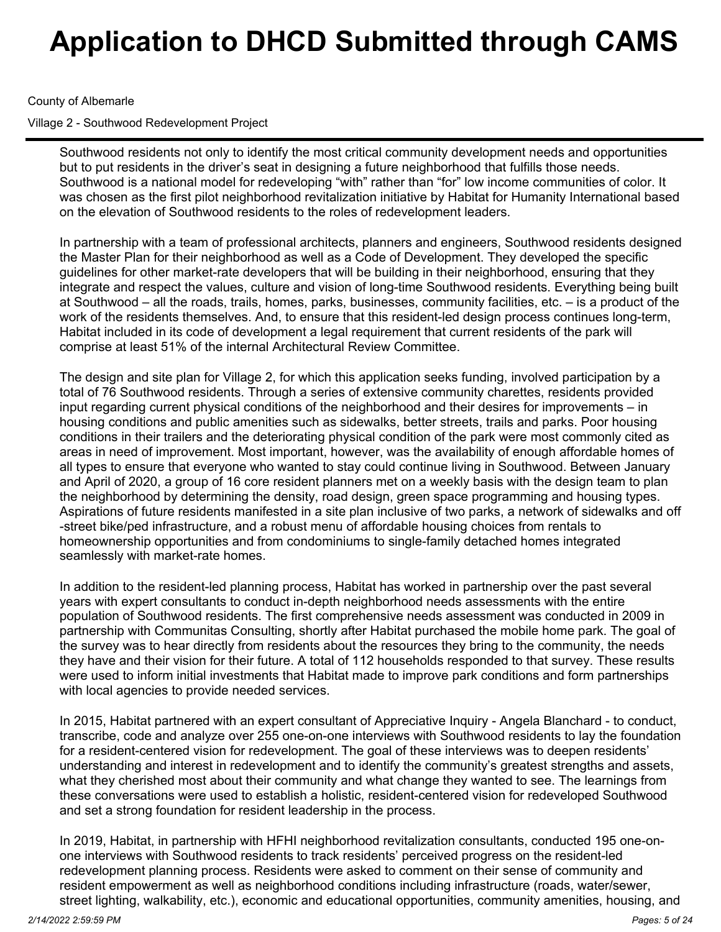## County of Albemarle

Village 2 - Southwood Redevelopment Project

Southwood residents not only to identify the most critical community development needs and opportunities but to put residents in the driver's seat in designing a future neighborhood that fulfills those needs. Southwood is a national model for redeveloping "with" rather than "for" low income communities of color. It was chosen as the first pilot neighborhood revitalization initiative by Habitat for Humanity International based on the elevation of Southwood residents to the roles of redevelopment leaders.

In partnership with a team of professional architects, planners and engineers, Southwood residents designed the Master Plan for their neighborhood as well as a Code of Development. They developed the specific guidelines for other market-rate developers that will be building in their neighborhood, ensuring that they integrate and respect the values, culture and vision of long-time Southwood residents. Everything being built at Southwood – all the roads, trails, homes, parks, businesses, community facilities, etc. – is a product of the work of the residents themselves. And, to ensure that this resident-led design process continues long-term, Habitat included in its code of development a legal requirement that current residents of the park will comprise at least 51% of the internal Architectural Review Committee.

The design and site plan for Village 2, for which this application seeks funding, involved participation by a total of 76 Southwood residents. Through a series of extensive community charettes, residents provided input regarding current physical conditions of the neighborhood and their desires for improvements – in housing conditions and public amenities such as sidewalks, better streets, trails and parks. Poor housing conditions in their trailers and the deteriorating physical condition of the park were most commonly cited as areas in need of improvement. Most important, however, was the availability of enough affordable homes of all types to ensure that everyone who wanted to stay could continue living in Southwood. Between January and April of 2020, a group of 16 core resident planners met on a weekly basis with the design team to plan the neighborhood by determining the density, road design, green space programming and housing types. Aspirations of future residents manifested in a site plan inclusive of two parks, a network of sidewalks and off -street bike/ped infrastructure, and a robust menu of affordable housing choices from rentals to homeownership opportunities and from condominiums to single-family detached homes integrated seamlessly with market-rate homes.

In addition to the resident-led planning process, Habitat has worked in partnership over the past several years with expert consultants to conduct in-depth neighborhood needs assessments with the entire population of Southwood residents. The first comprehensive needs assessment was conducted in 2009 in partnership with Communitas Consulting, shortly after Habitat purchased the mobile home park. The goal of the survey was to hear directly from residents about the resources they bring to the community, the needs they have and their vision for their future. A total of 112 households responded to that survey. These results were used to inform initial investments that Habitat made to improve park conditions and form partnerships with local agencies to provide needed services.

In 2015, Habitat partnered with an expert consultant of Appreciative Inquiry - Angela Blanchard - to conduct, transcribe, code and analyze over 255 one-on-one interviews with Southwood residents to lay the foundation for a resident-centered vision for redevelopment. The goal of these interviews was to deepen residents' understanding and interest in redevelopment and to identify the community's greatest strengths and assets, what they cherished most about their community and what change they wanted to see. The learnings from these conversations were used to establish a holistic, resident-centered vision for redeveloped Southwood and set a strong foundation for resident leadership in the process.

In 2019, Habitat, in partnership with HFHI neighborhood revitalization consultants, conducted 195 one-onone interviews with Southwood residents to track residents' perceived progress on the resident-led redevelopment planning process. Residents were asked to comment on their sense of community and resident empowerment as well as neighborhood conditions including infrastructure (roads, water/sewer, street lighting, walkability, etc.), economic and educational opportunities, community amenities, housing, and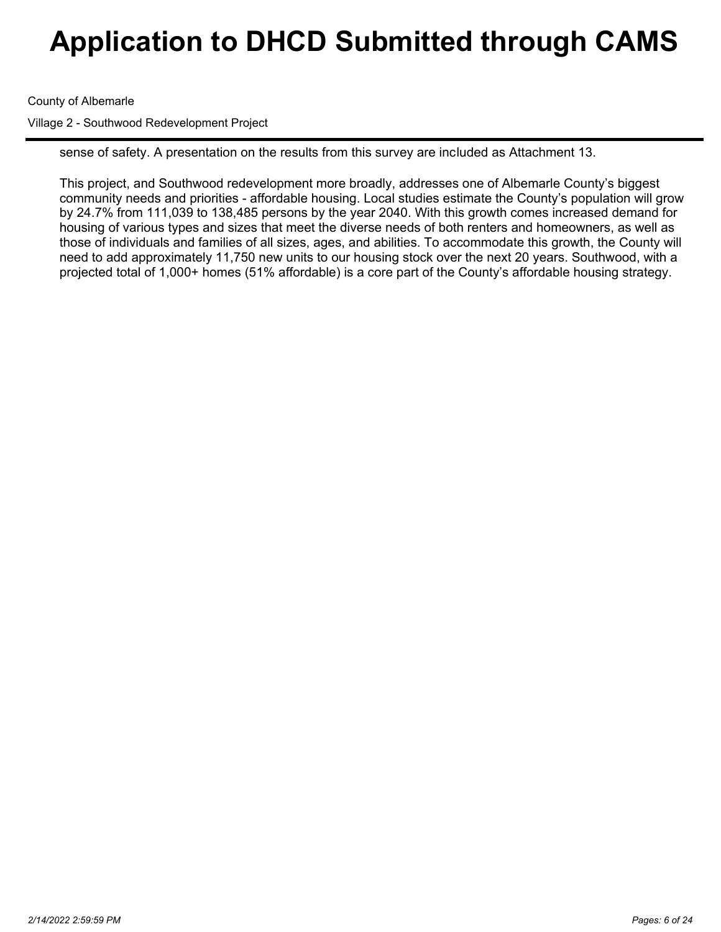County of Albemarle

Village 2 - Southwood Redevelopment Project

sense of safety. A presentation on the results from this survey are included as Attachment 13.

This project, and Southwood redevelopment more broadly, addresses one of Albemarle County's biggest community needs and priorities - affordable housing. Local studies estimate the County's population will grow by 24.7% from 111,039 to 138,485 persons by the year 2040. With this growth comes increased demand for housing of various types and sizes that meet the diverse needs of both renters and homeowners, as well as those of individuals and families of all sizes, ages, and abilities. To accommodate this growth, the County will need to add approximately 11,750 new units to our housing stock over the next 20 years. Southwood, with a projected total of 1,000+ homes (51% affordable) is a core part of the County's affordable housing strategy.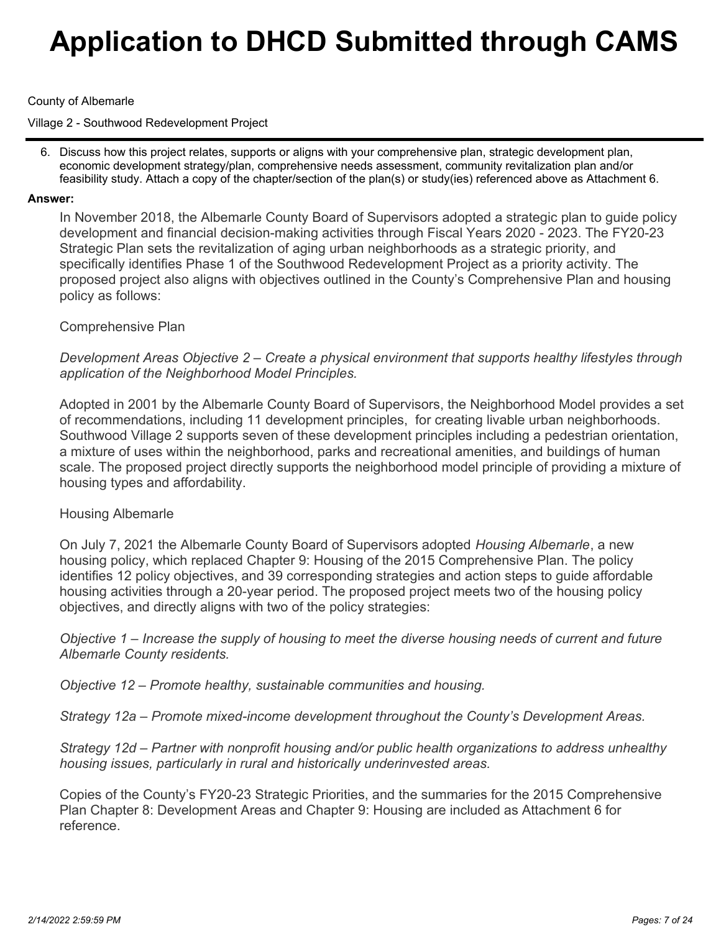## County of Albemarle

Village 2 - Southwood Redevelopment Project

6. Discuss how this project relates, supports or aligns with your comprehensive plan, strategic development plan, economic development strategy/plan, comprehensive needs assessment, community revitalization plan and/or feasibility study. Attach a copy of the chapter/section of the plan(s) or study(ies) referenced above as Attachment 6.

### **Answer:**

In November 2018, the Albemarle County Board of Supervisors adopted a strategic plan to guide policy development and financial decision-making activities through Fiscal Years 2020 - 2023. The FY20-23 Strategic Plan sets the revitalization of aging urban neighborhoods as a strategic priority, and specifically identifies Phase 1 of the Southwood Redevelopment Project as a priority activity. The proposed project also aligns with objectives outlined in the County's Comprehensive Plan and housing policy as follows:

## Comprehensive Plan

*Development Areas Objective 2 – Create a physical environment that supports healthy lifestyles through application of the Neighborhood Model Principles.*

Adopted in 2001 by the Albemarle County Board of Supervisors, the Neighborhood Model provides a set of recommendations, including 11 development principles, for creating livable urban neighborhoods. Southwood Village 2 supports seven of these development principles including a pedestrian orientation, a mixture of uses within the neighborhood, parks and recreational amenities, and buildings of human scale. The proposed project directly supports the neighborhood model principle of providing a mixture of housing types and affordability.

## Housing Albemarle

On July 7, 2021 the Albemarle County Board of Supervisors adopted *Housing Albemarle*, a new housing policy, which replaced Chapter 9: Housing of the 2015 Comprehensive Plan. The policy identifies 12 policy objectives, and 39 corresponding strategies and action steps to guide affordable housing activities through a 20-year period. The proposed project meets two of the housing policy objectives, and directly aligns with two of the policy strategies:

*Objective 1 – Increase the supply of housing to meet the diverse housing needs of current and future Albemarle County residents.*

*Objective 12 – Promote healthy, sustainable communities and housing.*

*Strategy 12a – Promote mixed-income development throughout the County's Development Areas.*

*Strategy 12d – Partner with nonprofit housing and/or public health organizations to address unhealthy housing issues, particularly in rural and historically underinvested areas.*

Copies of the County's FY20-23 Strategic Priorities, and the summaries for the 2015 Comprehensive Plan Chapter 8: Development Areas and Chapter 9: Housing are included as Attachment 6 for reference.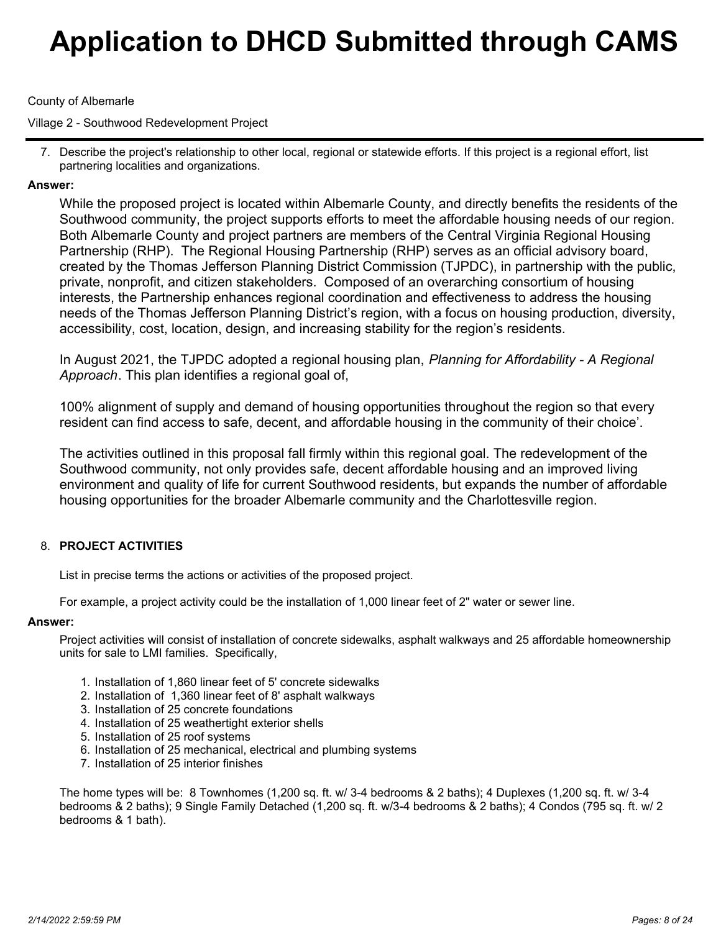## County of Albemarle

Village 2 - Southwood Redevelopment Project

7. Describe the project's relationship to other local, regional or statewide efforts. If this project is a regional effort, list partnering localities and organizations.

## **Answer:**

While the proposed project is located within Albemarle County, and directly benefits the residents of the Southwood community, the project supports efforts to meet the affordable housing needs of our region. Both Albemarle County and project partners are members of the Central Virginia Regional Housing Partnership (RHP). The Regional Housing Partnership (RHP) serves as an official advisory board, created by the Thomas Jefferson Planning District Commission (TJPDC), in partnership with the public, private, nonprofit, and citizen stakeholders. Composed of an overarching consortium of housing interests, the Partnership enhances regional coordination and effectiveness to address the housing needs of the Thomas Jefferson Planning District's region, with a focus on housing production, diversity, accessibility, cost, location, design, and increasing stability for the region's residents.

In August 2021, the TJPDC adopted a regional housing plan, *Planning for Affordability - A Regional Approach*. This plan identifies a regional goal of,

100% alignment of supply and demand of housing opportunities throughout the region so that every resident can find access to safe, decent, and affordable housing in the community of their choice'.

The activities outlined in this proposal fall firmly within this regional goal. The redevelopment of the Southwood community, not only provides safe, decent affordable housing and an improved living environment and quality of life for current Southwood residents, but expands the number of affordable housing opportunities for the broader Albemarle community and the Charlottesville region.

## **PROJECT ACTIVITIES** 8.

List in precise terms the actions or activities of the proposed project.

For example, a project activity could be the installation of 1,000 linear feet of 2" water or sewer line.

#### **Answer:**

Project activities will consist of installation of concrete sidewalks, asphalt walkways and 25 affordable homeownership units for sale to LMI families. Specifically,

- 1. Installation of 1,860 linear feet of 5' concrete sidewalks
- 2. Installation of 1,360 linear feet of 8' asphalt walkways
- 3. Installation of 25 concrete foundations
- 4. Installation of 25 weathertight exterior shells
- 5. Installation of 25 roof systems
- 6. Installation of 25 mechanical, electrical and plumbing systems
- 7. Installation of 25 interior finishes

The home types will be: 8 Townhomes (1,200 sq. ft. w/ 3-4 bedrooms & 2 baths); 4 Duplexes (1,200 sq. ft. w/ 3-4 bedrooms & 2 baths); 9 Single Family Detached (1,200 sq. ft. w/3-4 bedrooms & 2 baths); 4 Condos (795 sq. ft. w/ 2 bedrooms & 1 bath).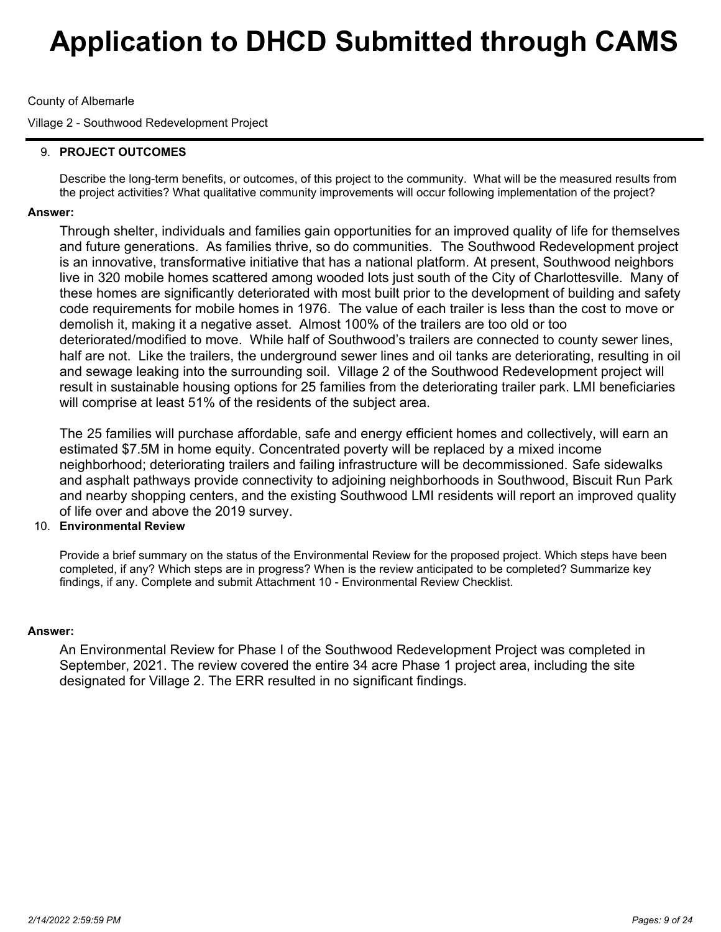## County of Albemarle

Village 2 - Southwood Redevelopment Project

## **PROJECT OUTCOMES**  9.

Describe the long-term benefits, or outcomes, of this project to the community. What will be the measured results from the project activities? What qualitative community improvements will occur following implementation of the project?

## **Answer:**

Through shelter, individuals and families gain opportunities for an improved quality of life for themselves and future generations. As families thrive, so do communities. The Southwood Redevelopment project is an innovative, transformative initiative that has a national platform. At present, Southwood neighbors live in 320 mobile homes scattered among wooded lots just south of the City of Charlottesville. Many of these homes are significantly deteriorated with most built prior to the development of building and safety code requirements for mobile homes in 1976. The value of each trailer is less than the cost to move or demolish it, making it a negative asset. Almost 100% of the trailers are too old or too deteriorated/modified to move. While half of Southwood's trailers are connected to county sewer lines, half are not. Like the trailers, the underground sewer lines and oil tanks are deteriorating, resulting in oil and sewage leaking into the surrounding soil. Village 2 of the Southwood Redevelopment project will result in sustainable housing options for 25 families from the deteriorating trailer park. LMI beneficiaries will comprise at least 51% of the residents of the subject area.

The 25 families will purchase affordable, safe and energy efficient homes and collectively, will earn an estimated \$7.5M in home equity. Concentrated poverty will be replaced by a mixed income neighborhood; deteriorating trailers and failing infrastructure will be decommissioned. Safe sidewalks and asphalt pathways provide connectivity to adjoining neighborhoods in Southwood, Biscuit Run Park and nearby shopping centers, and the existing Southwood LMI residents will report an improved quality of life over and above the 2019 survey.

## **Environmental Review** 10.

Provide a brief summary on the status of the Environmental Review for the proposed project. Which steps have been completed, if any? Which steps are in progress? When is the review anticipated to be completed? Summarize key findings, if any. Complete and submit Attachment 10 - Environmental Review Checklist.

#### **Answer:**

An Environmental Review for Phase I of the Southwood Redevelopment Project was completed in September, 2021. The review covered the entire 34 acre Phase 1 project area, including the site designated for Village 2. The ERR resulted in no significant findings.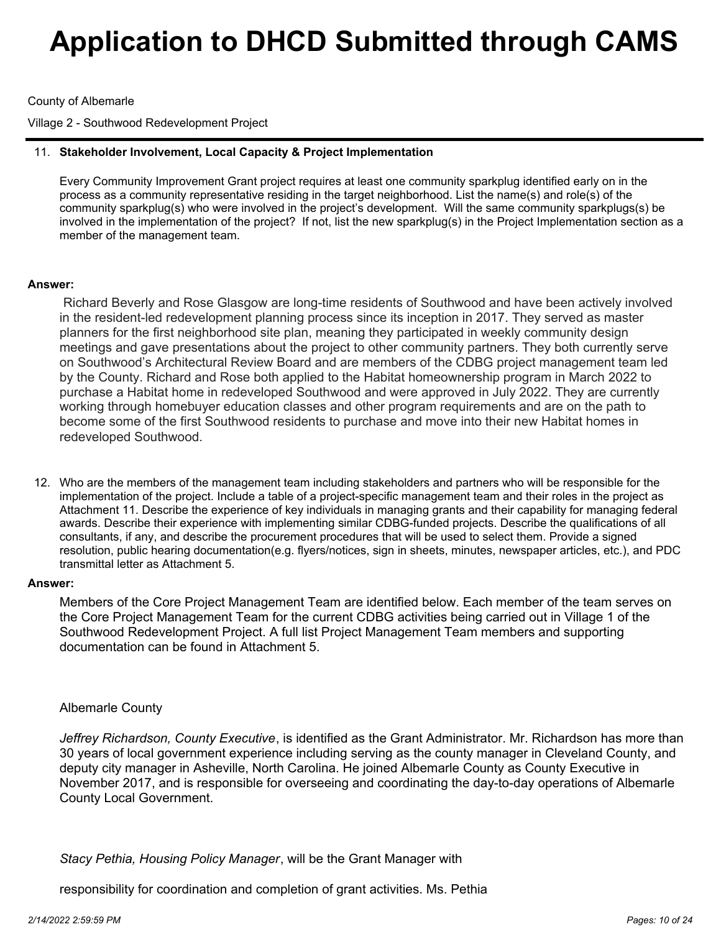County of Albemarle

Village 2 - Southwood Redevelopment Project

## **Stakeholder Involvement, Local Capacity & Project Implementation** 11.

Every Community Improvement Grant project requires at least one community sparkplug identified early on in the process as a community representative residing in the target neighborhood. List the name(s) and role(s) of the community sparkplug(s) who were involved in the project's development. Will the same community sparkplugs(s) be involved in the implementation of the project? If not, list the new sparkplug(s) in the Project Implementation section as a member of the management team.

## **Answer:**

Richard Beverly and Rose Glasgow are long-time residents of Southwood and have been actively involved in the resident-led redevelopment planning process since its inception in 2017. They served as master planners for the first neighborhood site plan, meaning they participated in weekly community design meetings and gave presentations about the project to other community partners. They both currently serve on Southwood's Architectural Review Board and are members of the CDBG project management team led by the County. Richard and Rose both applied to the Habitat homeownership program in March 2022 to purchase a Habitat home in redeveloped Southwood and were approved in July 2022. They are currently working through homebuyer education classes and other program requirements and are on the path to become some of the first Southwood residents to purchase and move into their new Habitat homes in redeveloped Southwood.

12. Who are the members of the management team including stakeholders and partners who will be responsible for the implementation of the project. Include a table of a project-specific management team and their roles in the project as Attachment 11. Describe the experience of key individuals in managing grants and their capability for managing federal awards. Describe their experience with implementing similar CDBG-funded projects. Describe the qualifications of all consultants, if any, and describe the procurement procedures that will be used to select them. Provide a signed resolution, public hearing documentation(e.g. flyers/notices, sign in sheets, minutes, newspaper articles, etc.), and PDC transmittal letter as Attachment 5.

#### **Answer:**

Members of the Core Project Management Team are identified below. Each member of the team serves on the Core Project Management Team for the current CDBG activities being carried out in Village 1 of the Southwood Redevelopment Project. A full list Project Management Team members and supporting documentation can be found in Attachment 5.

## Albemarle County

*Jeffrey Richardson, County Executive*, is identified as the Grant Administrator. Mr. Richardson has more than 30 years of local government experience including serving as the county manager in Cleveland County, and deputy city manager in Asheville, North Carolina. He joined Albemarle County as County Executive in November 2017, and is responsible for overseeing and coordinating the day-to-day operations of Albemarle County Local Government.

*Stacy Pethia, Housing Policy Manager*, will be the Grant Manager with

responsibility for coordination and completion of grant activities. Ms. Pethia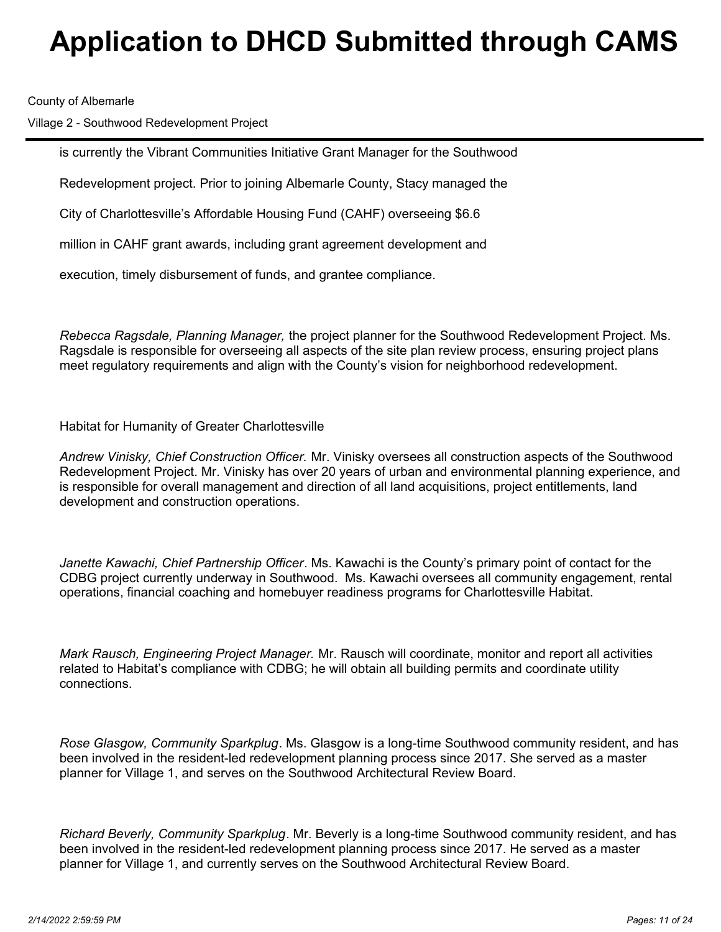County of Albemarle

Village 2 - Southwood Redevelopment Project

is currently the Vibrant Communities Initiative Grant Manager for the Southwood

Redevelopment project. Prior to joining Albemarle County, Stacy managed the

City of Charlottesville's Affordable Housing Fund (CAHF) overseeing \$6.6

million in CAHF grant awards, including grant agreement development and

execution, timely disbursement of funds, and grantee compliance.

*Rebecca Ragsdale, Planning Manager,* the project planner for the Southwood Redevelopment Project. Ms. Ragsdale is responsible for overseeing all aspects of the site plan review process, ensuring project plans meet regulatory requirements and align with the County's vision for neighborhood redevelopment.

Habitat for Humanity of Greater Charlottesville

*Andrew Vinisky, Chief Construction Officer.* Mr. Vinisky oversees all construction aspects of the Southwood Redevelopment Project. Mr. Vinisky has over 20 years of urban and environmental planning experience, and is responsible for overall management and direction of all land acquisitions, project entitlements, land development and construction operations.

*Janette Kawachi, Chief Partnership Officer*. Ms. Kawachi is the County's primary point of contact for the CDBG project currently underway in Southwood. Ms. Kawachi oversees all community engagement, rental operations, financial coaching and homebuyer readiness programs for Charlottesville Habitat.

*Mark Rausch, Engineering Project Manager.* Mr. Rausch will coordinate, monitor and report all activities related to Habitat's compliance with CDBG; he will obtain all building permits and coordinate utility connections.

*Rose Glasgow, Community Sparkplug*. Ms. Glasgow is a long-time Southwood community resident, and has been involved in the resident-led redevelopment planning process since 2017. She served as a master planner for Village 1, and serves on the Southwood Architectural Review Board.

*Richard Beverly, Community Sparkplug*. Mr. Beverly is a long-time Southwood community resident, and has been involved in the resident-led redevelopment planning process since 2017. He served as a master planner for Village 1, and currently serves on the Southwood Architectural Review Board.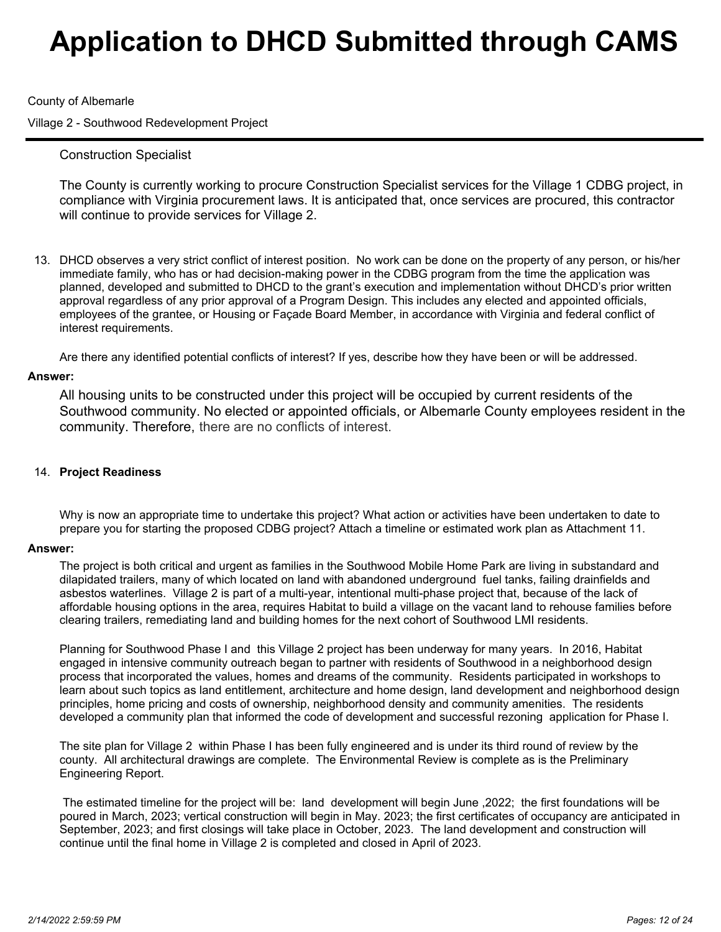### County of Albemarle

Village 2 - Southwood Redevelopment Project

## Construction Specialist

The County is currently working to procure Construction Specialist services for the Village 1 CDBG project, in compliance with Virginia procurement laws. It is anticipated that, once services are procured, this contractor will continue to provide services for Village 2.

13. DHCD observes a very strict conflict of interest position. No work can be done on the property of any person, or his/her immediate family, who has or had decision-making power in the CDBG program from the time the application was planned, developed and submitted to DHCD to the grant's execution and implementation without DHCD's prior written approval regardless of any prior approval of a Program Design. This includes any elected and appointed officials, employees of the grantee, or Housing or Façade Board Member, in accordance with Virginia and federal conflict of interest requirements.

Are there any identified potential conflicts of interest? If yes, describe how they have been or will be addressed.

#### **Answer:**

All housing units to be constructed under this project will be occupied by current residents of the Southwood community. No elected or appointed officials, or Albemarle County employees resident in the community. Therefore, there are no conflicts of interest.

### **Project Readiness**  14.

Why is now an appropriate time to undertake this project? What action or activities have been undertaken to date to prepare you for starting the proposed CDBG project? Attach a timeline or estimated work plan as Attachment 11.

#### **Answer:**

The project is both critical and urgent as families in the Southwood Mobile Home Park are living in substandard and dilapidated trailers, many of which located on land with abandoned underground fuel tanks, failing drainfields and asbestos waterlines. Village 2 is part of a multi-year, intentional multi-phase project that, because of the lack of affordable housing options in the area, requires Habitat to build a village on the vacant land to rehouse families before clearing trailers, remediating land and building homes for the next cohort of Southwood LMI residents.

Planning for Southwood Phase I and this Village 2 project has been underway for many years. In 2016, Habitat engaged in intensive community outreach began to partner with residents of Southwood in a neighborhood design process that incorporated the values, homes and dreams of the community. Residents participated in workshops to learn about such topics as land entitlement, architecture and home design, land development and neighborhood design principles, home pricing and costs of ownership, neighborhood density and community amenities. The residents developed a community plan that informed the code of development and successful rezoning application for Phase I.

The site plan for Village 2 within Phase I has been fully engineered and is under its third round of review by the county. All architectural drawings are complete. The Environmental Review is complete as is the Preliminary Engineering Report.

 The estimated timeline for the project will be: land development will begin June ,2022; the first foundations will be poured in March, 2023; vertical construction will begin in May. 2023; the first certificates of occupancy are anticipated in September, 2023; and first closings will take place in October, 2023. The land development and construction will continue until the final home in Village 2 is completed and closed in April of 2023.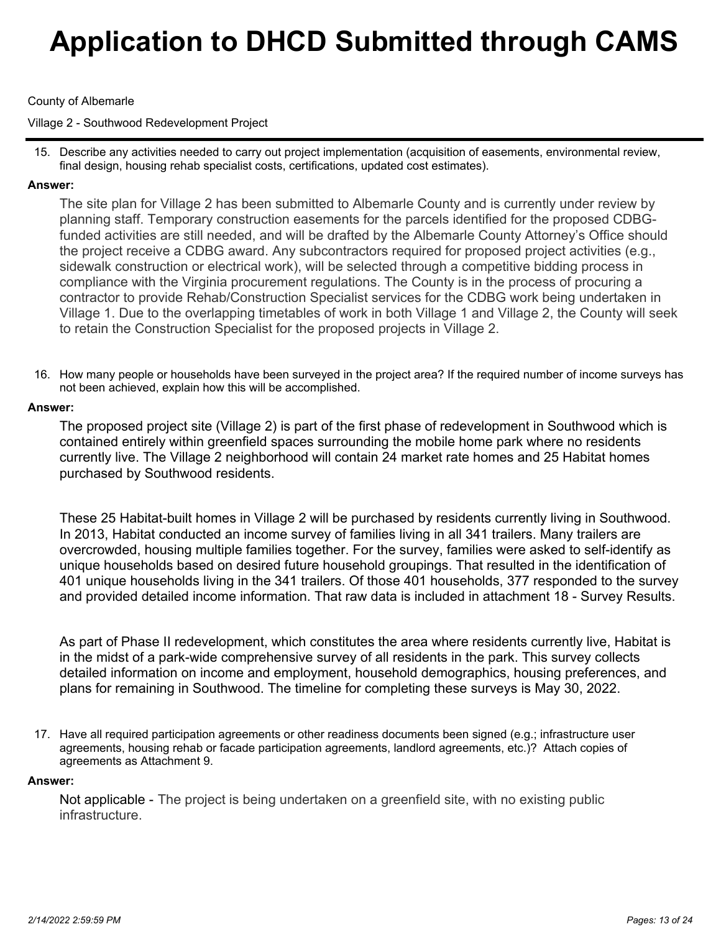## County of Albemarle

Village 2 - Southwood Redevelopment Project

15. Describe any activities needed to carry out project implementation (acquisition of easements, environmental review, final design, housing rehab specialist costs, certifications, updated cost estimates).

## **Answer:**

The site plan for Village 2 has been submitted to Albemarle County and is currently under review by planning staff. Temporary construction easements for the parcels identified for the proposed CDBGfunded activities are still needed, and will be drafted by the Albemarle County Attorney's Office should the project receive a CDBG award. Any subcontractors required for proposed project activities (e.g., sidewalk construction or electrical work), will be selected through a competitive bidding process in compliance with the Virginia procurement regulations. The County is in the process of procuring a contractor to provide Rehab/Construction Specialist services for the CDBG work being undertaken in Village 1. Due to the overlapping timetables of work in both Village 1 and Village 2, the County will seek to retain the Construction Specialist for the proposed projects in Village 2.

16. How many people or households have been surveyed in the project area? If the required number of income surveys has not been achieved, explain how this will be accomplished.

## **Answer:**

The proposed project site (Village 2) is part of the first phase of redevelopment in Southwood which is contained entirely within greenfield spaces surrounding the mobile home park where no residents currently live. The Village 2 neighborhood will contain 24 market rate homes and 25 Habitat homes purchased by Southwood residents.

These 25 Habitat-built homes in Village 2 will be purchased by residents currently living in Southwood. In 2013, Habitat conducted an income survey of families living in all 341 trailers. Many trailers are overcrowded, housing multiple families together. For the survey, families were asked to self-identify as unique households based on desired future household groupings. That resulted in the identification of 401 unique households living in the 341 trailers. Of those 401 households, 377 responded to the survey and provided detailed income information. That raw data is included in attachment 18 - Survey Results.

As part of Phase II redevelopment, which constitutes the area where residents currently live, Habitat is in the midst of a park-wide comprehensive survey of all residents in the park. This survey collects detailed information on income and employment, household demographics, housing preferences, and plans for remaining in Southwood. The timeline for completing these surveys is May 30, 2022.

17. Have all required participation agreements or other readiness documents been signed (e.g.; infrastructure user agreements, housing rehab or facade participation agreements, landlord agreements, etc.)? Attach copies of agreements as Attachment 9.

#### **Answer:**

Not applicable - The project is being undertaken on a greenfield site, with no existing public infrastructure.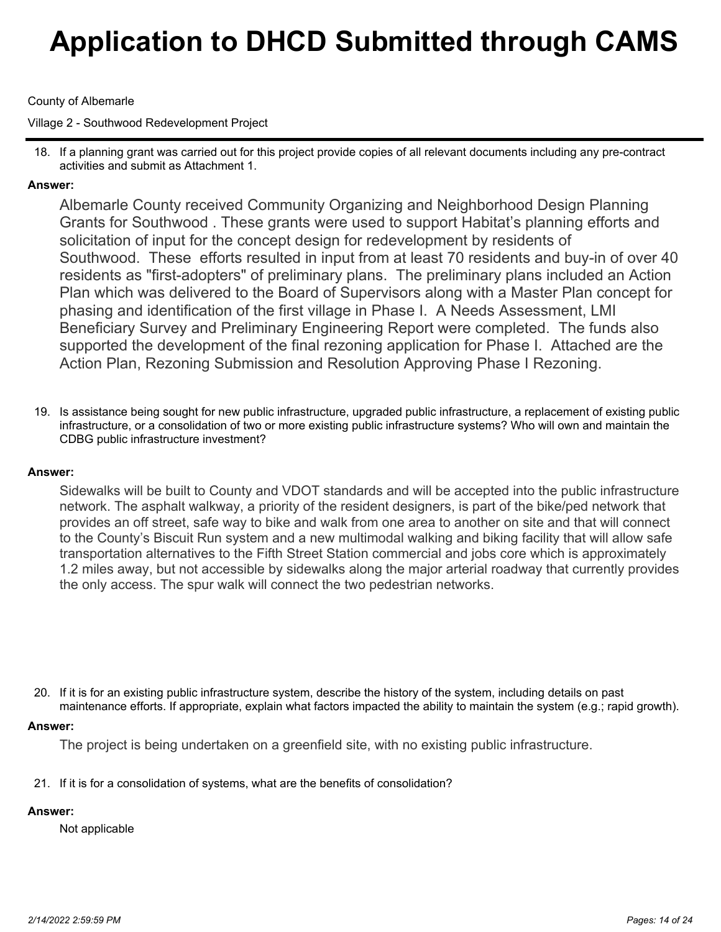## County of Albemarle

Village 2 - Southwood Redevelopment Project

If a planning grant was carried out for this project provide copies of all relevant documents including any pre-contract 18. activities and submit as Attachment 1.

## **Answer:**

Albemarle County received Community Organizing and Neighborhood Design Planning Grants for Southwood . These grants were used to support Habitat's planning efforts and solicitation of input for the concept design for redevelopment by residents of Southwood. These efforts resulted in input from at least 70 residents and buy-in of over 40 residents as "first-adopters" of preliminary plans. The preliminary plans included an Action Plan which was delivered to the Board of Supervisors along with a Master Plan concept for phasing and identification of the first village in Phase I. A Needs Assessment, LMI Beneficiary Survey and Preliminary Engineering Report were completed. The funds also supported the development of the final rezoning application for Phase I. Attached are the Action Plan, Rezoning Submission and Resolution Approving Phase I Rezoning.

19. Is assistance being sought for new public infrastructure, upgraded public infrastructure, a replacement of existing public infrastructure, or a consolidation of two or more existing public infrastructure systems? Who will own and maintain the CDBG public infrastructure investment?

## **Answer:**

Sidewalks will be built to County and VDOT standards and will be accepted into the public infrastructure network. The asphalt walkway, a priority of the resident designers, is part of the bike/ped network that provides an off street, safe way to bike and walk from one area to another on site and that will connect to the County's Biscuit Run system and a new multimodal walking and biking facility that will allow safe transportation alternatives to the Fifth Street Station commercial and jobs core which is approximately 1.2 miles away, but not accessible by sidewalks along the major arterial roadway that currently provides the only access. The spur walk will connect the two pedestrian networks.

20. If it is for an existing public infrastructure system, describe the history of the system, including details on past maintenance efforts. If appropriate, explain what factors impacted the ability to maintain the system (e.g.; rapid growth).

#### **Answer:**

The project is being undertaken on a greenfield site, with no existing public infrastructure.

21. If it is for a consolidation of systems, what are the benefits of consolidation?

# **Answer:**

Not applicable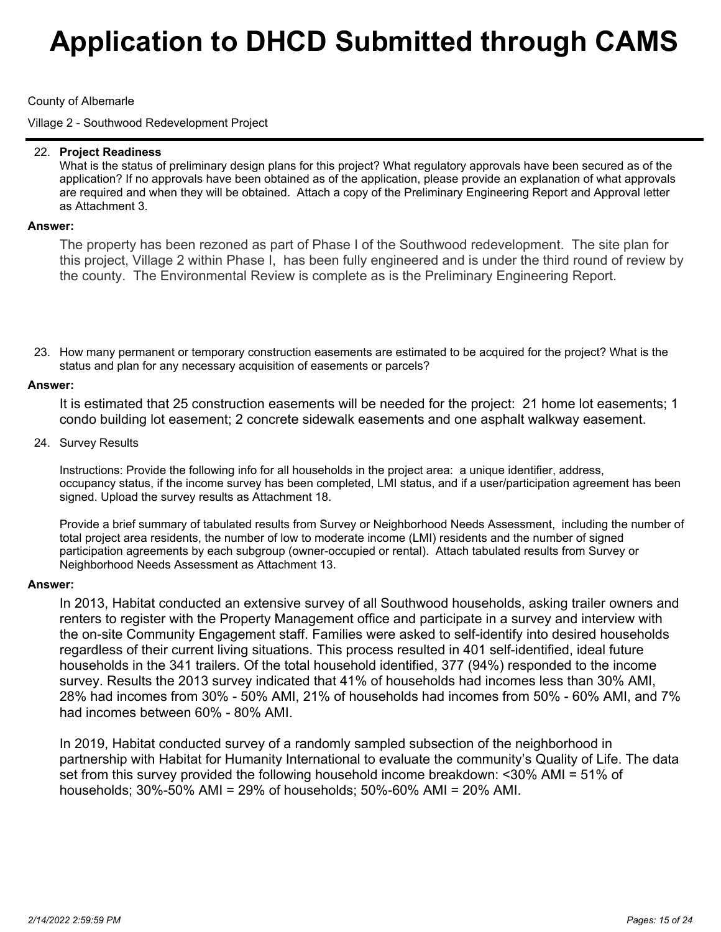### County of Albemarle

Village 2 - Southwood Redevelopment Project

#### **Project Readiness** 22.

What is the status of preliminary design plans for this project? What regulatory approvals have been secured as of the application? If no approvals have been obtained as of the application, please provide an explanation of what approvals are required and when they will be obtained. Attach a copy of the Preliminary Engineering Report and Approval letter as Attachment 3.

### **Answer:**

The property has been rezoned as part of Phase I of the Southwood redevelopment. The site plan for this project, Village 2 within Phase I, has been fully engineered and is under the third round of review by the county. The Environmental Review is complete as is the Preliminary Engineering Report.

23. How many permanent or temporary construction easements are estimated to be acquired for the project? What is the status and plan for any necessary acquisition of easements or parcels?

#### **Answer:**

It is estimated that 25 construction easements will be needed for the project: 21 home lot easements; 1 condo building lot easement; 2 concrete sidewalk easements and one asphalt walkway easement.

24. Survey Results

Instructions: Provide the following info for all households in the project area: a unique identifier, address, occupancy status, if the income survey has been completed, LMI status, and if a user/participation agreement has been signed. Upload the survey results as Attachment 18.

Provide a brief summary of tabulated results from Survey or Neighborhood Needs Assessment, including the number of total project area residents, the number of low to moderate income (LMI) residents and the number of signed participation agreements by each subgroup (owner-occupied or rental). Attach tabulated results from Survey or Neighborhood Needs Assessment as Attachment 13.

#### **Answer:**

In 2013, Habitat conducted an extensive survey of all Southwood households, asking trailer owners and renters to register with the Property Management office and participate in a survey and interview with the on-site Community Engagement staff. Families were asked to self-identify into desired households regardless of their current living situations. This process resulted in 401 self-identified, ideal future households in the 341 trailers. Of the total household identified, 377 (94%) responded to the income survey. Results the 2013 survey indicated that 41% of households had incomes less than 30% AMI, 28% had incomes from 30% - 50% AMI, 21% of households had incomes from 50% - 60% AMI, and 7% had incomes between 60% - 80% AMI.

In 2019, Habitat conducted survey of a randomly sampled subsection of the neighborhood in partnership with Habitat for Humanity International to evaluate the community's Quality of Life. The data set from this survey provided the following household income breakdown: <30% AMI = 51% of households; 30%-50% AMI = 29% of households; 50%-60% AMI = 20% AMI.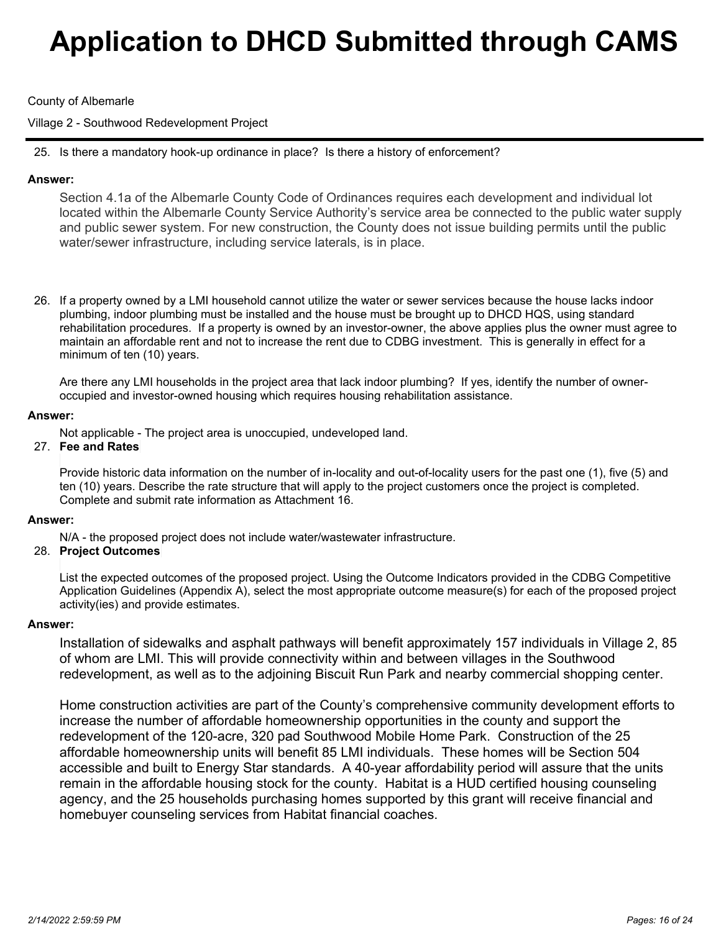## County of Albemarle

Village 2 - Southwood Redevelopment Project

25. Is there a mandatory hook-up ordinance in place? Is there a history of enforcement?

## **Answer:**

Section 4.1a of the Albemarle County Code of Ordinances requires each development and individual lot located within the Albemarle County Service Authority's service area be connected to the public water supply and public sewer system. For new construction, the County does not issue building permits until the public water/sewer infrastructure, including service laterals, is in place.

26. If a property owned by a LMI household cannot utilize the water or sewer services because the house lacks indoor plumbing, indoor plumbing must be installed and the house must be brought up to DHCD HQS, using standard rehabilitation procedures. If a property is owned by an investor-owner, the above applies plus the owner must agree to maintain an affordable rent and not to increase the rent due to CDBG investment. This is generally in effect for a minimum of ten (10) years.

Are there any LMI households in the project area that lack indoor plumbing? If yes, identify the number of owneroccupied and investor-owned housing which requires housing rehabilitation assistance.

## **Answer:**

Not applicable - The project area is unoccupied, undeveloped land.

## **Fee and Rates** 27.

Provide historic data information on the number of in-locality and out-of-locality users for the past one (1), five (5) and ten (10) years. Describe the rate structure that will apply to the project customers once the project is completed. Complete and submit rate information as Attachment 16.

#### **Answer:**

N/A - the proposed project does not include water/wastewater infrastructure.

## **Project Outcomes** 28.

List the expected outcomes of the proposed project. Using the Outcome Indicators provided in the CDBG Competitive Application Guidelines (Appendix A), select the most appropriate outcome measure(s) for each of the proposed project activity(ies) and provide estimates.

#### **Answer:**

Installation of sidewalks and asphalt pathways will benefit approximately 157 individuals in Village 2, 85 of whom are LMI. This will provide connectivity within and between villages in the Southwood redevelopment, as well as to the adjoining Biscuit Run Park and nearby commercial shopping center.

Home construction activities are part of the County's comprehensive community development efforts to increase the number of affordable homeownership opportunities in the county and support the redevelopment of the 120-acre, 320 pad Southwood Mobile Home Park. Construction of the 25 affordable homeownership units will benefit 85 LMI individuals. These homes will be Section 504 accessible and built to Energy Star standards. A 40-year affordability period will assure that the units remain in the affordable housing stock for the county. Habitat is a HUD certified housing counseling agency, and the 25 households purchasing homes supported by this grant will receive financial and homebuyer counseling services from Habitat financial coaches.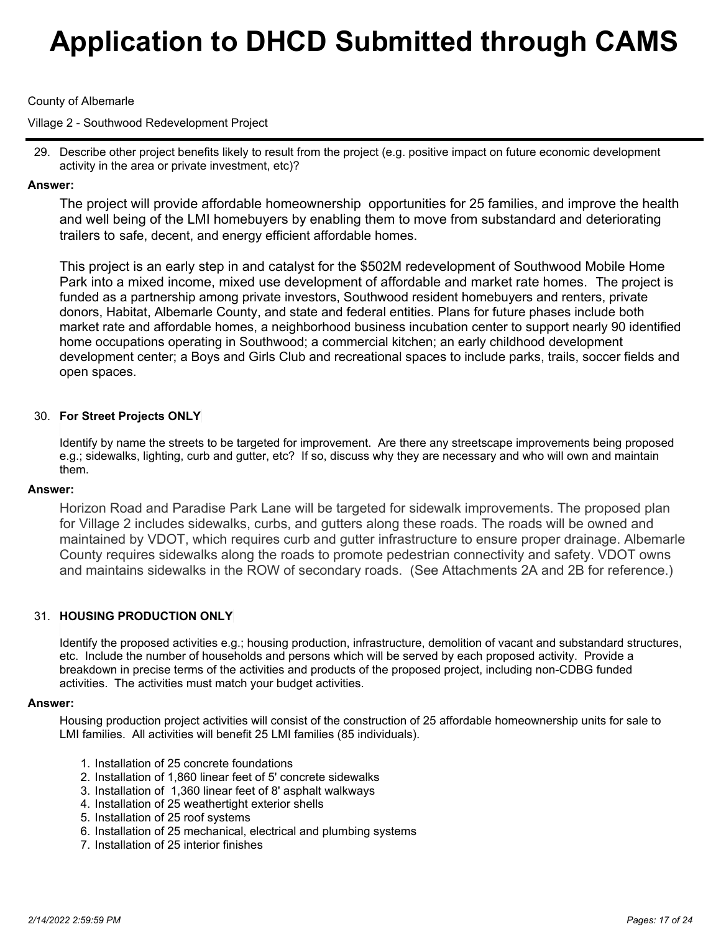### County of Albemarle

Village 2 - Southwood Redevelopment Project

29. Describe other project benefits likely to result from the project (e.g. positive impact on future economic development activity in the area or private investment, etc)?

## **Answer:**

The project will provide affordable homeownership opportunities for 25 families, and improve the health and well being of the LMI homebuyers by enabling them to move from substandard and deteriorating trailers to safe, decent, and energy efficient affordable homes.

This project is an early step in and catalyst for the \$502M redevelopment of Southwood Mobile Home Park into a mixed income, mixed use development of affordable and market rate homes. The project is funded as a partnership among private investors, Southwood resident homebuyers and renters, private donors, Habitat, Albemarle County, and state and federal entities. Plans for future phases include both market rate and affordable homes, a neighborhood business incubation center to support nearly 90 identified home occupations operating in Southwood; a commercial kitchen; an early childhood development development center; a Boys and Girls Club and recreational spaces to include parks, trails, soccer fields and open spaces.

## **For Street Projects ONLY** 30.

Identify by name the streets to be targeted for improvement. Are there any streetscape improvements being proposed e.g.; sidewalks, lighting, curb and gutter, etc? If so, discuss why they are necessary and who will own and maintain them.

#### **Answer:**

Horizon Road and Paradise Park Lane will be targeted for sidewalk improvements. The proposed plan for Village 2 includes sidewalks, curbs, and gutters along these roads. The roads will be owned and maintained by VDOT, which requires curb and gutter infrastructure to ensure proper drainage. Albemarle County requires sidewalks along the roads to promote pedestrian connectivity and safety. VDOT owns and maintains sidewalks in the ROW of secondary roads. (See Attachments 2A and 2B for reference.)

## 31. HOUSING PRODUCTION ONLY

Identify the proposed activities e.g.; housing production, infrastructure, demolition of vacant and substandard structures, etc. Include the number of households and persons which will be served by each proposed activity. Provide a breakdown in precise terms of the activities and products of the proposed project, including non-CDBG funded activities. The activities must match your budget activities.

#### **Answer:**

Housing production project activities will consist of the construction of 25 affordable homeownership units for sale to LMI families. All activities will benefit 25 LMI families (85 individuals).

- 1. Installation of 25 concrete foundations
- 2. Installation of 1,860 linear feet of 5' concrete sidewalks
- 3. Installation of 1,360 linear feet of 8' asphalt walkways
- 4. Installation of 25 weathertight exterior shells
- 5. Installation of 25 roof systems
- 6. Installation of 25 mechanical, electrical and plumbing systems
- 7. Installation of 25 interior finishes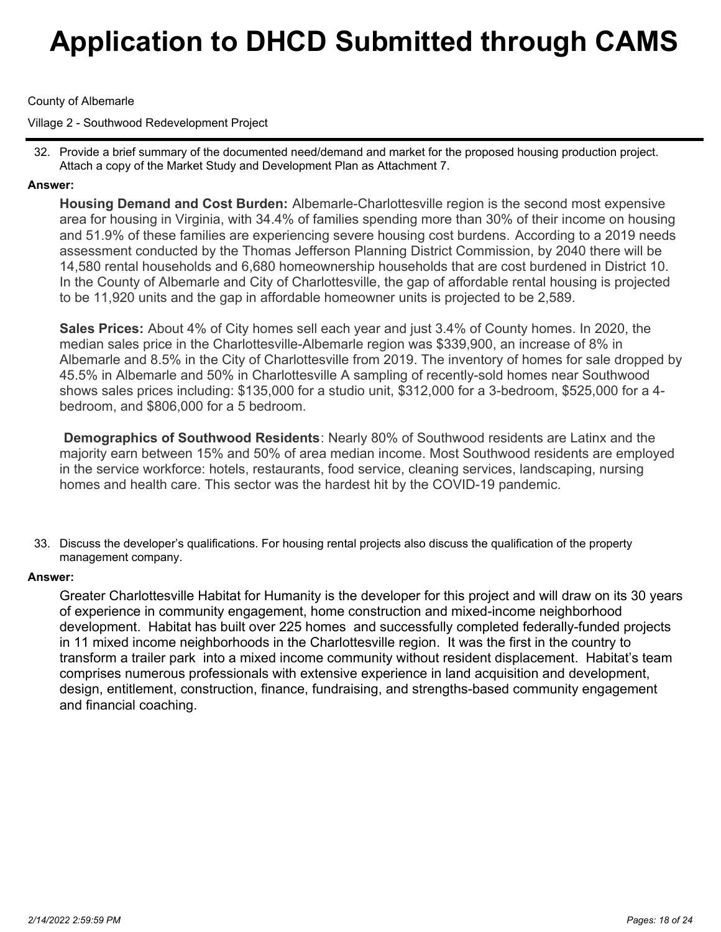County of Albemarle

Village 2 - Southwood Redevelopment Project

32. Provide a brief summary of the documented need/demand and market for the proposed housing production project. Attach a copy of the Market Study and Development Plan as Attachment 7.

## **Answer:**

**Housing Demand and Cost Burden:** Albemarle-Charlottesville region is the second most expensive area for housing in Virginia, with 34.4% of families spending more than 30% of their income on housing and 51.9% of these families are experiencing severe housing cost burdens.According to a 2019 needs assessment conducted by the Thomas Jefferson Planning District Commission, by 2040 there will be 14,580 rental households and 6,680 homeownership households that are cost burdened in District 10. In the County of Albemarle and City of Charlottesville, the gap of affordable rental housing is projected to be 11,920 units and the gap in affordable homeowner units is projected to be 2,589.

**Sales Prices:** About 4% of City homes sell each year and just 3.4% of County homes. In 2020, the median sales price in the Charlottesville-Albemarle region was \$339,900, an increase of 8% in Albemarle and 8.5% in the City of Charlottesville from 2019. The inventory of homes for sale dropped by 45.5% in Albemarle and 50% in Charlottesville A sampling of recently-sold homes near Southwood shows sales prices including: \$135,000 for a studio unit, \$312,000 for a 3-bedroom, \$525,000 for a 4 bedroom, and \$806,000 for a 5 bedroom.

**Demographics of Southwood Residents**: Nearly 80% of Southwood residents are Latinx and the majority earn between 15% and 50% of area median income. Most Southwood residents are employed in the service workforce: hotels, restaurants, food service, cleaning services, landscaping, nursing homes and health care. This sector was the hardest hit by the COVID-19 pandemic.

33. Discuss the developer's qualifications. For housing rental projects also discuss the qualification of the property management company.

## **Answer:**

Greater Charlottesville Habitat for Humanity is the developer for this project and will draw on its 30 years of experience in community engagement, home construction and mixed-income neighborhood development. Habitat has built over 225 homes and successfully completed federally-funded projects in 11 mixed income neighborhoods in the Charlottesville region. It was the first in the country to transform a trailer park into a mixed income community without resident displacement. Habitat's team comprises numerous professionals with extensive experience in land acquisition and development, design, entitlement, construction, finance, fundraising, and strengths-based community engagement and financial coaching.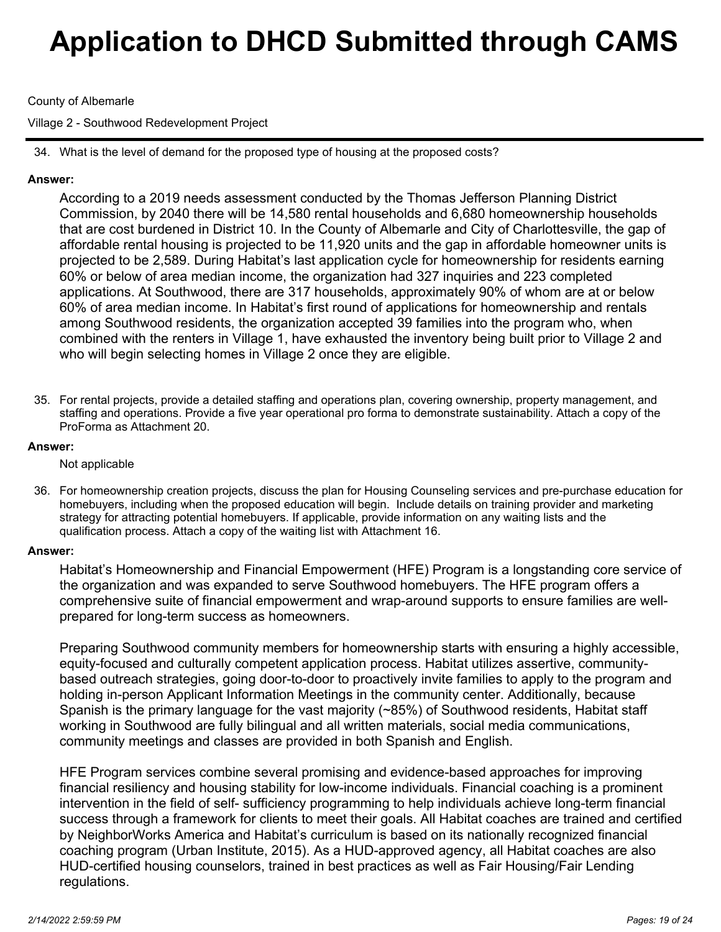## County of Albemarle

Village 2 - Southwood Redevelopment Project

34. What is the level of demand for the proposed type of housing at the proposed costs?

## **Answer:**

According to a 2019 needs assessment conducted by the Thomas Jefferson Planning District Commission, by 2040 there will be 14,580 rental households and 6,680 homeownership households that are cost burdened in District 10. In the County of Albemarle and City of Charlottesville, the gap of affordable rental housing is projected to be 11,920 units and the gap in affordable homeowner units is projected to be 2,589. During Habitat's last application cycle for homeownership for residents earning 60% or below of area median income, the organization had 327 inquiries and 223 completed applications. At Southwood, there are 317 households, approximately 90% of whom are at or below 60% of area median income. In Habitat's first round of applications for homeownership and rentals among Southwood residents, the organization accepted 39 families into the program who, when combined with the renters in Village 1, have exhausted the inventory being built prior to Village 2 and who will begin selecting homes in Village 2 once they are eligible.

35. For rental projects, provide a detailed staffing and operations plan, covering ownership, property management, and staffing and operations. Provide a five year operational pro forma to demonstrate sustainability. Attach a copy of the ProForma as Attachment 20.

## **Answer:**

Not applicable

36. For homeownership creation projects, discuss the plan for Housing Counseling services and pre-purchase education for homebuyers, including when the proposed education will begin. Include details on training provider and marketing strategy for attracting potential homebuyers. If applicable, provide information on any waiting lists and the qualification process. Attach a copy of the waiting list with Attachment 16.

## **Answer:**

Habitat's Homeownership and Financial Empowerment (HFE) Program is a longstanding core service of the organization and was expanded to serve Southwood homebuyers. The HFE program offers a comprehensive suite of financial empowerment and wrap-around supports to ensure families are wellprepared for long-term success as homeowners.

Preparing Southwood community members for homeownership starts with ensuring a highly accessible, equity-focused and culturally competent application process. Habitat utilizes assertive, communitybased outreach strategies, going door-to-door to proactively invite families to apply to the program and holding in-person Applicant Information Meetings in the community center. Additionally, because Spanish is the primary language for the vast majority (~85%) of Southwood residents, Habitat staff working in Southwood are fully bilingual and all written materials, social media communications, community meetings and classes are provided in both Spanish and English.

HFE Program services combine several promising and evidence-based approaches for improving financial resiliency and housing stability for low-income individuals. Financial coaching is a prominent intervention in the field of self- sufficiency programming to help individuals achieve long-term financial success through a framework for clients to meet their goals. All Habitat coaches are trained and certified by NeighborWorks America and Habitat's curriculum is based on its nationally recognized financial coaching program (Urban Institute, 2015). As a HUD-approved agency, all Habitat coaches are also HUD-certified housing counselors, trained in best practices as well as Fair Housing/Fair Lending regulations.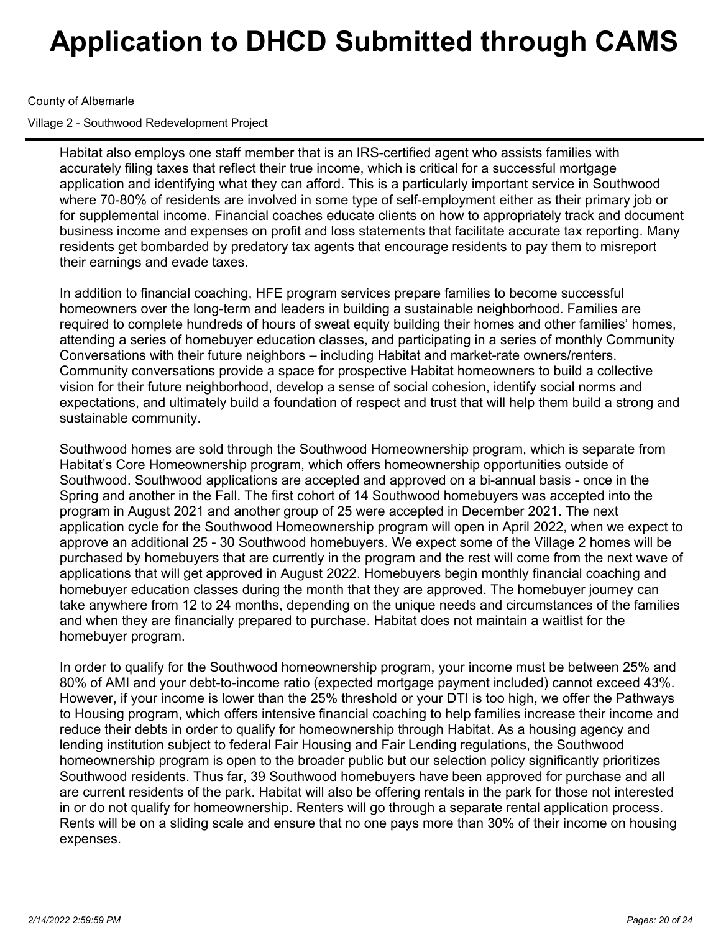## County of Albemarle

Village 2 - Southwood Redevelopment Project

Habitat also employs one staff member that is an IRS-certified agent who assists families with accurately filing taxes that reflect their true income, which is critical for a successful mortgage application and identifying what they can afford. This is a particularly important service in Southwood where 70-80% of residents are involved in some type of self-employment either as their primary job or for supplemental income. Financial coaches educate clients on how to appropriately track and document business income and expenses on profit and loss statements that facilitate accurate tax reporting. Many residents get bombarded by predatory tax agents that encourage residents to pay them to misreport their earnings and evade taxes.

In addition to financial coaching, HFE program services prepare families to become successful homeowners over the long-term and leaders in building a sustainable neighborhood. Families are required to complete hundreds of hours of sweat equity building their homes and other families' homes, attending a series of homebuyer education classes, and participating in a series of monthly Community Conversations with their future neighbors – including Habitat and market-rate owners/renters. Community conversations provide a space for prospective Habitat homeowners to build a collective vision for their future neighborhood, develop a sense of social cohesion, identify social norms and expectations, and ultimately build a foundation of respect and trust that will help them build a strong and sustainable community.

Southwood homes are sold through the Southwood Homeownership program, which is separate from Habitat's Core Homeownership program, which offers homeownership opportunities outside of Southwood. Southwood applications are accepted and approved on a bi-annual basis - once in the Spring and another in the Fall. The first cohort of 14 Southwood homebuyers was accepted into the program in August 2021 and another group of 25 were accepted in December 2021. The next application cycle for the Southwood Homeownership program will open in April 2022, when we expect to approve an additional 25 - 30 Southwood homebuyers. We expect some of the Village 2 homes will be purchased by homebuyers that are currently in the program and the rest will come from the next wave of applications that will get approved in August 2022. Homebuyers begin monthly financial coaching and homebuyer education classes during the month that they are approved. The homebuyer journey can take anywhere from 12 to 24 months, depending on the unique needs and circumstances of the families and when they are financially prepared to purchase. Habitat does not maintain a waitlist for the homebuyer program.

In order to qualify for the Southwood homeownership program, your income must be between 25% and 80% of AMI and your debt-to-income ratio (expected mortgage payment included) cannot exceed 43%. However, if your income is lower than the 25% threshold or your DTI is too high, we offer the Pathways to Housing program, which offers intensive financial coaching to help families increase their income and reduce their debts in order to qualify for homeownership through Habitat. As a housing agency and lending institution subject to federal Fair Housing and Fair Lending regulations, the Southwood homeownership program is open to the broader public but our selection policy significantly prioritizes Southwood residents. Thus far, 39 Southwood homebuyers have been approved for purchase and all are current residents of the park. Habitat will also be offering rentals in the park for those not interested in or do not qualify for homeownership. Renters will go through a separate rental application process. Rents will be on a sliding scale and ensure that no one pays more than 30% of their income on housing expenses.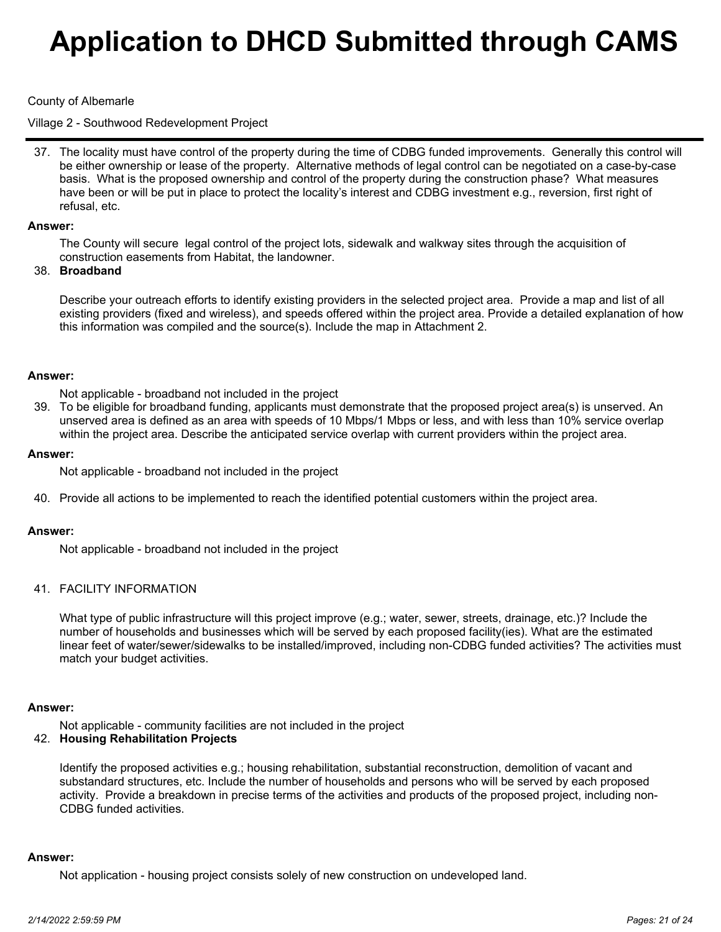#### County of Albemarle

Village 2 - Southwood Redevelopment Project

37. The locality must have control of the property during the time of CDBG funded improvements. Generally this control will be either ownership or lease of the property. Alternative methods of legal control can be negotiated on a case-by-case basis. What is the proposed ownership and control of the property during the construction phase? What measures have been or will be put in place to protect the locality's interest and CDBG investment e.g., reversion, first right of refusal, etc.

#### **Answer:**

The County will secure legal control of the project lots, sidewalk and walkway sites through the acquisition of construction easements from Habitat, the landowner.

#### **Broadband** 38.

Describe your outreach efforts to identify existing providers in the selected project area. Provide a map and list of all existing providers (fixed and wireless), and speeds offered within the project area. Provide a detailed explanation of how this information was compiled and the source(s). Include the map in Attachment 2.

#### **Answer:**

Not applicable - broadband not included in the project

39. To be eligible for broadband funding, applicants must demonstrate that the proposed project area(s) is unserved. An unserved area is defined as an area with speeds of 10 Mbps/1 Mbps or less, and with less than 10% service overlap within the project area. Describe the anticipated service overlap with current providers within the project area.

#### **Answer:**

Not applicable - broadband not included in the project

40. Provide all actions to be implemented to reach the identified potential customers within the project area.

#### **Answer:**

Not applicable - broadband not included in the project

#### 41. FACILITY INFORMATION

What type of public infrastructure will this project improve (e.g.; water, sewer, streets, drainage, etc.)? Include the number of households and businesses which will be served by each proposed facility(ies). What are the estimated linear feet of water/sewer/sidewalks to be installed/improved, including non-CDBG funded activities? The activities must match your budget activities.

#### **Answer:**

Not applicable - community facilities are not included in the project

#### **Housing Rehabilitation Projects** 42.

Identify the proposed activities e.g.; housing rehabilitation, substantial reconstruction, demolition of vacant and substandard structures, etc. Include the number of households and persons who will be served by each proposed activity. Provide a breakdown in precise terms of the activities and products of the proposed project, including non-CDBG funded activities.

#### **Answer:**

Not application - housing project consists solely of new construction on undeveloped land.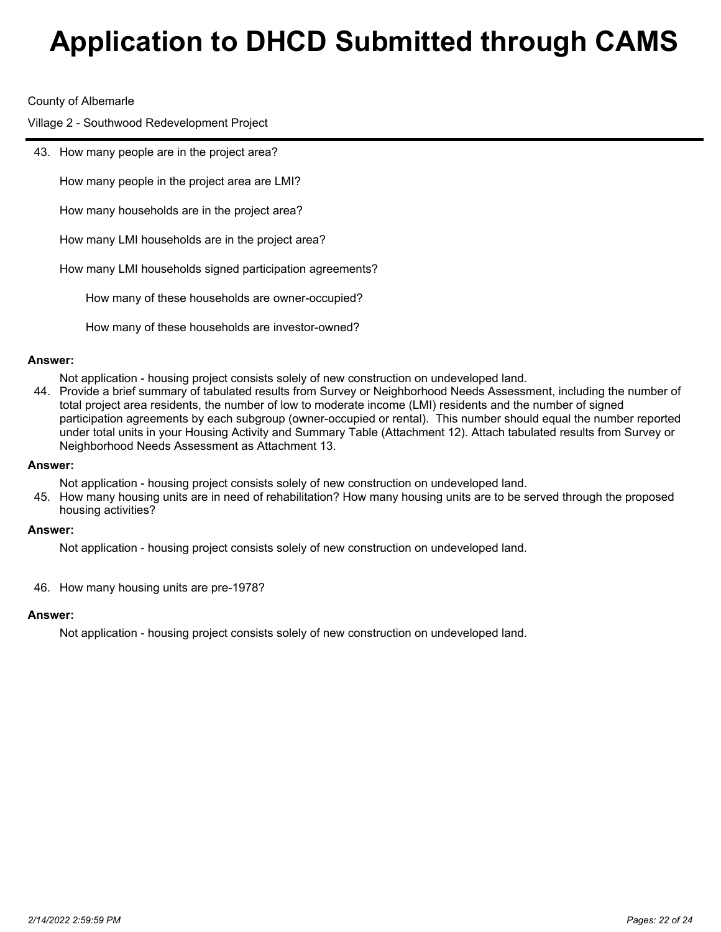#### County of Albemarle

Village 2 - Southwood Redevelopment Project

43. How many people are in the project area?

How many people in the project area are LMI?

How many households are in the project area?

How many LMI households are in the project area?

How many LMI households signed participation agreements?

How many of these households are owner-occupied?

How many of these households are investor-owned?

#### **Answer:**

Not application - housing project consists solely of new construction on undeveloped land.

44. Provide a brief summary of tabulated results from Survey or Neighborhood Needs Assessment, including the number of total project area residents, the number of low to moderate income (LMI) residents and the number of signed participation agreements by each subgroup (owner-occupied or rental). This number should equal the number reported under total units in your Housing Activity and Summary Table (Attachment 12). Attach tabulated results from Survey or Neighborhood Needs Assessment as Attachment 13.

#### **Answer:**

Not application - housing project consists solely of new construction on undeveloped land.

45. How many housing units are in need of rehabilitation? How many housing units are to be served through the proposed housing activities?

#### **Answer:**

Not application - housing project consists solely of new construction on undeveloped land.

46. How many housing units are pre-1978?

#### **Answer:**

Not application - housing project consists solely of new construction on undeveloped land.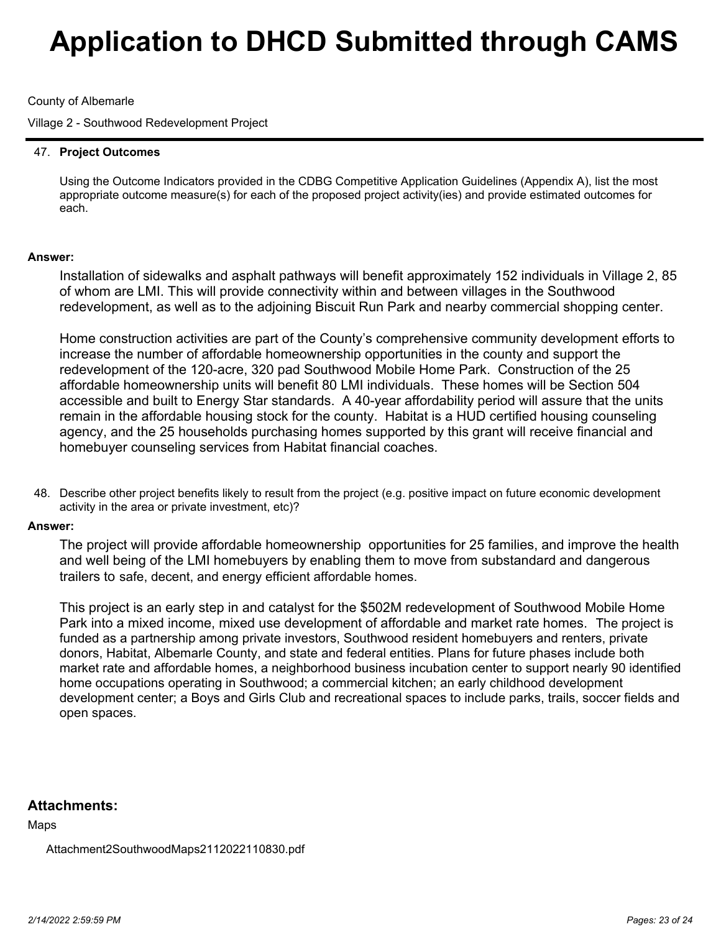## County of Albemarle

Village 2 - Southwood Redevelopment Project

## **Project Outcomes** 47.

Using the Outcome Indicators provided in the CDBG Competitive Application Guidelines (Appendix A), list the most appropriate outcome measure(s) for each of the proposed project activity(ies) and provide estimated outcomes for each.

## **Answer:**

Installation of sidewalks and asphalt pathways will benefit approximately 152 individuals in Village 2, 85 of whom are LMI. This will provide connectivity within and between villages in the Southwood redevelopment, as well as to the adjoining Biscuit Run Park and nearby commercial shopping center.

Home construction activities are part of the County's comprehensive community development efforts to increase the number of affordable homeownership opportunities in the county and support the redevelopment of the 120-acre, 320 pad Southwood Mobile Home Park. Construction of the 25 affordable homeownership units will benefit 80 LMI individuals. These homes will be Section 504 accessible and built to Energy Star standards. A 40-year affordability period will assure that the units remain in the affordable housing stock for the county. Habitat is a HUD certified housing counseling agency, and the 25 households purchasing homes supported by this grant will receive financial and homebuyer counseling services from Habitat financial coaches.

48. Describe other project benefits likely to result from the project (e.g. positive impact on future economic development activity in the area or private investment, etc)?

#### **Answer:**

The project will provide affordable homeownership opportunities for 25 families, and improve the health and well being of the LMI homebuyers by enabling them to move from substandard and dangerous trailers to safe, decent, and energy efficient affordable homes.

This project is an early step in and catalyst for the \$502M redevelopment of Southwood Mobile Home Park into a mixed income, mixed use development of affordable and market rate homes. The project is funded as a partnership among private investors, Southwood resident homebuyers and renters, private donors, Habitat, Albemarle County, and state and federal entities. Plans for future phases include both market rate and affordable homes, a neighborhood business incubation center to support nearly 90 identified home occupations operating in Southwood; a commercial kitchen; an early childhood development development center; a Boys and Girls Club and recreational spaces to include parks, trails, soccer fields and open spaces.

# **Attachments:**

Maps

Attachment2SouthwoodMaps2112022110830.pdf